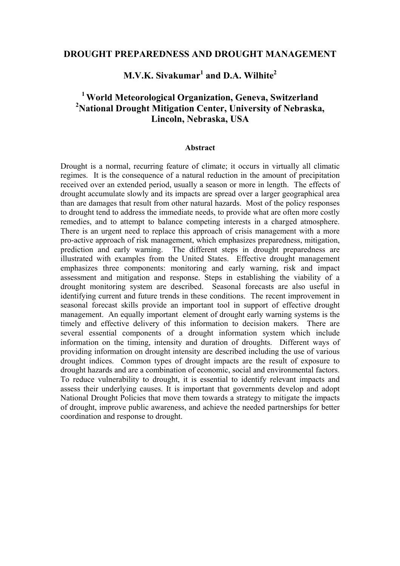# **M.V.K. Sivakumar1 and D.A. Wilhite<sup>2</sup>**

# **1 World Meteorological Organization, Geneva, Switzerland 2 National Drought Mitigation Center, University of Nebraska, Lincoln, Nebraska, USA**

#### **Abstract**

Drought is a normal, recurring feature of climate; it occurs in virtually all climatic regimes. It is the consequence of a natural reduction in the amount of precipitation received over an extended period, usually a season or more in length. The effects of drought accumulate slowly and its impacts are spread over a larger geographical area than are damages that result from other natural hazards. Most of the policy responses to drought tend to address the immediate needs, to provide what are often more costly remedies, and to attempt to balance competing interests in a charged atmosphere. There is an urgent need to replace this approach of crisis management with a more pro-active approach of risk management, which emphasizes preparedness, mitigation, prediction and early warning. The different steps in drought preparedness are illustrated with examples from the United States. Effective drought management emphasizes three components: monitoring and early warning, risk and impact assessment and mitigation and response. Steps in establishing the viability of a drought monitoring system are described. Seasonal forecasts are also useful in identifying current and future trends in these conditions. The recent improvement in seasonal forecast skills provide an important tool in support of effective drought management. An equally important element of drought early warning systems is the timely and effective delivery of this information to decision makers. There are several essential components of a drought information system which include information on the timing, intensity and duration of droughts. Different ways of providing information on drought intensity are described including the use of various drought indices. Common types of drought impacts are the result of exposure to drought hazards and are a combination of economic, social and environmental factors. To reduce vulnerability to drought, it is essential to identify relevant impacts and assess their underlying causes. It is important that governments develop and adopt National Drought Policies that move them towards a strategy to mitigate the impacts of drought, improve public awareness, and achieve the needed partnerships for better coordination and response to drought.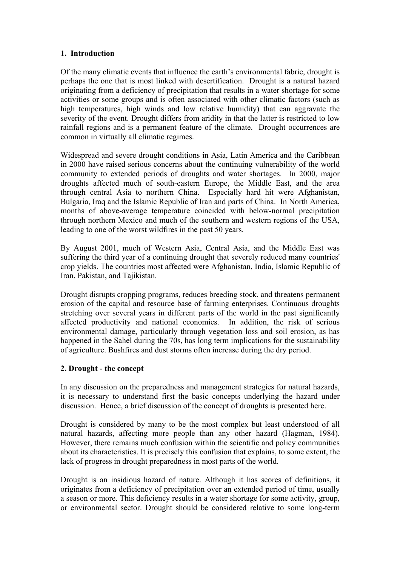#### **1. Introduction**

Of the many climatic events that influence the earth's environmental fabric, drought is perhaps the one that is most linked with desertification. Drought is a natural hazard originating from a deficiency of precipitation that results in a water shortage for some activities or some groups and is often associated with other climatic factors (such as high temperatures, high winds and low relative humidity) that can aggravate the severity of the event. Drought differs from aridity in that the latter is restricted to low rainfall regions and is a permanent feature of the climate. Drought occurrences are common in virtually all climatic regimes.

Widespread and severe drought conditions in Asia, Latin America and the Caribbean in 2000 have raised serious concerns about the continuing vulnerability of the world community to extended periods of droughts and water shortages. In 2000, major droughts affected much of south-eastern Europe, the Middle East, and the area through central Asia to northern China. Especially hard hit were Afghanistan, Bulgaria, Iraq and the Islamic Republic of Iran and parts of China. In North America, months of above-average temperature coincided with below-normal precipitation through northern Mexico and much of the southern and western regions of the USA, leading to one of the worst wildfires in the past 50 years.

By August 2001, much of Western Asia, Central Asia, and the Middle East was suffering the third year of a continuing drought that severely reduced many countries' crop yields. The countries most affected were Afghanistan, India, Islamic Republic of Iran, Pakistan, and Tajikistan.

Drought disrupts cropping programs, reduces breeding stock, and threatens permanent erosion of the capital and resource base of farming enterprises. Continuous droughts stretching over several years in different parts of the world in the past significantly affected productivity and national economies. In addition, the risk of serious environmental damage, particularly through vegetation loss and soil erosion, as has happened in the Sahel during the 70s, has long term implications for the sustainability of agriculture. Bushfires and dust storms often increase during the dry period.

## **2. Drought - the concept**

In any discussion on the preparedness and management strategies for natural hazards, it is necessary to understand first the basic concepts underlying the hazard under discussion. Hence, a brief discussion of the concept of droughts is presented here.

Drought is considered by many to be the most complex but least understood of all natural hazards, affecting more people than any other hazard (Hagman, 1984). However, there remains much confusion within the scientific and policy communities about its characteristics. It is precisely this confusion that explains, to some extent, the lack of progress in drought preparedness in most parts of the world.

Drought is an insidious hazard of nature. Although it has scores of definitions, it originates from a deficiency of precipitation over an extended period of time, usually a season or more. This deficiency results in a water shortage for some activity, group, or environmental sector. Drought should be considered relative to some long-term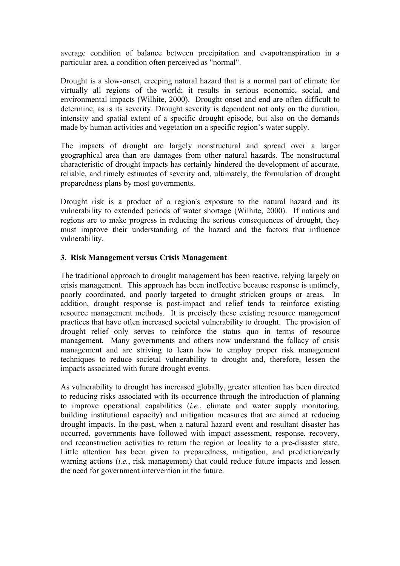average condition of balance between precipitation and evapotranspiration in a particular area, a condition often perceived as "normal".

Drought is a slow-onset, creeping natural hazard that is a normal part of climate for virtually all regions of the world; it results in serious economic, social, and environmental impacts (Wilhite, 2000). Drought onset and end are often difficult to determine, as is its severity. Drought severity is dependent not only on the duration, intensity and spatial extent of a specific drought episode, but also on the demands made by human activities and vegetation on a specific region's water supply.

The impacts of drought are largely nonstructural and spread over a larger geographical area than are damages from other natural hazards. The nonstructural characteristic of drought impacts has certainly hindered the development of accurate, reliable, and timely estimates of severity and, ultimately, the formulation of drought preparedness plans by most governments.

Drought risk is a product of a region's exposure to the natural hazard and its vulnerability to extended periods of water shortage (Wilhite, 2000). If nations and regions are to make progress in reducing the serious consequences of drought, they must improve their understanding of the hazard and the factors that influence vulnerability.

## **3. Risk Management versus Crisis Management**

The traditional approach to drought management has been reactive, relying largely on crisis management. This approach has been ineffective because response is untimely, poorly coordinated, and poorly targeted to drought stricken groups or areas. In addition, drought response is post-impact and relief tends to reinforce existing resource management methods. It is precisely these existing resource management practices that have often increased societal vulnerability to drought. The provision of drought relief only serves to reinforce the status quo in terms of resource management. Many governments and others now understand the fallacy of crisis management and are striving to learn how to employ proper risk management techniques to reduce societal vulnerability to drought and, therefore, lessen the impacts associated with future drought events.

As vulnerability to drought has increased globally, greater attention has been directed to reducing risks associated with its occurrence through the introduction of planning to improve operational capabilities (*i.e.*, climate and water supply monitoring, building institutional capacity) and mitigation measures that are aimed at reducing drought impacts. In the past, when a natural hazard event and resultant disaster has occurred, governments have followed with impact assessment, response, recovery, and reconstruction activities to return the region or locality to a pre-disaster state. Little attention has been given to preparedness, mitigation, and prediction/early warning actions (*i.e.*, risk management) that could reduce future impacts and lessen the need for government intervention in the future.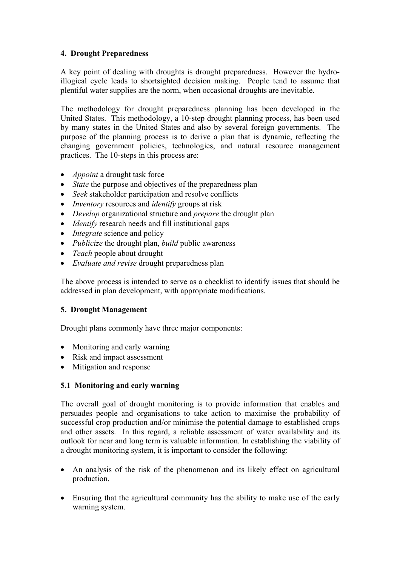# **4. Drought Preparedness**

A key point of dealing with droughts is drought preparedness. However the hydroillogical cycle leads to shortsighted decision making. People tend to assume that plentiful water supplies are the norm, when occasional droughts are inevitable.

The methodology for drought preparedness planning has been developed in the United States. This methodology, a 10-step drought planning process, has been used by many states in the United States and also by several foreign governments. The purpose of the planning process is to derive a plan that is dynamic, reflecting the changing government policies, technologies, and natural resource management practices. The 10-steps in this process are:

- *Appoint* a drought task force
- *State* the purpose and objectives of the preparedness plan
- *Seek* stakeholder participation and resolve conflicts
- *Inventory* resources and *identify* groups at risk
- *Develop* organizational structure and *prepare* the drought plan
- *Identify* research needs and fill institutional gaps
- *Integrate* science and policy
- *Publicize* the drought plan, *build* public awareness
- *Teach* people about drought
- *Evaluate and revise* drought preparedness plan

The above process is intended to serve as a checklist to identify issues that should be addressed in plan development, with appropriate modifications.

## **5. Drought Management**

Drought plans commonly have three major components:

- Monitoring and early warning
- Risk and impact assessment
- Mitigation and response

## **5.1 Monitoring and early warning**

The overall goal of drought monitoring is to provide information that enables and persuades people and organisations to take action to maximise the probability of successful crop production and/or minimise the potential damage to established crops and other assets. In this regard, a reliable assessment of water availability and its outlook for near and long term is valuable information. In establishing the viability of a drought monitoring system, it is important to consider the following:

- An analysis of the risk of the phenomenon and its likely effect on agricultural production.
- Ensuring that the agricultural community has the ability to make use of the early warning system.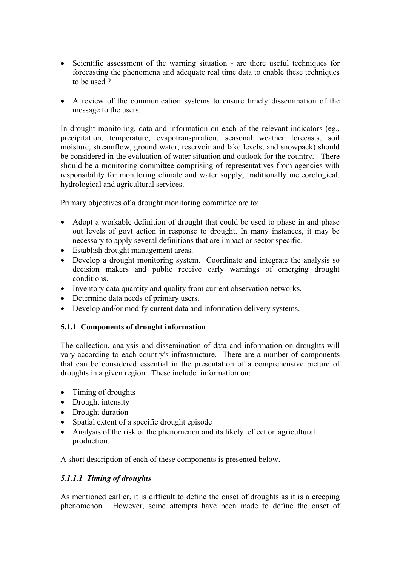- Scientific assessment of the warning situation are there useful techniques for forecasting the phenomena and adequate real time data to enable these techniques to be used ?
- A review of the communication systems to ensure timely dissemination of the message to the users.

In drought monitoring, data and information on each of the relevant indicators (eg., precipitation, temperature, evapotranspiration, seasonal weather forecasts, soil moisture, streamflow, ground water, reservoir and lake levels, and snowpack) should be considered in the evaluation of water situation and outlook for the country. There should be a monitoring committee comprising of representatives from agencies with responsibility for monitoring climate and water supply, traditionally meteorological, hydrological and agricultural services.

Primary objectives of a drought monitoring committee are to:

- Adopt a workable definition of drought that could be used to phase in and phase out levels of govt action in response to drought. In many instances, it may be necessary to apply several definitions that are impact or sector specific.
- Establish drought management areas.
- Develop a drought monitoring system. Coordinate and integrate the analysis so decision makers and public receive early warnings of emerging drought conditions.
- Inventory data quantity and quality from current observation networks.
- Determine data needs of primary users.
- Develop and/or modify current data and information delivery systems.

#### **5.1.1 Components of drought information**

The collection, analysis and dissemination of data and information on droughts will vary according to each country's infrastructure. There are a number of components that can be considered essential in the presentation of a comprehensive picture of droughts in a given region. These include information on:

- Timing of droughts
- Drought intensity
- Drought duration
- Spatial extent of a specific drought episode
- Analysis of the risk of the phenomenon and its likely effect on agricultural production.

A short description of each of these components is presented below.

## *5.1.1.1 Timing of droughts*

As mentioned earlier, it is difficult to define the onset of droughts as it is a creeping phenomenon. However, some attempts have been made to define the onset of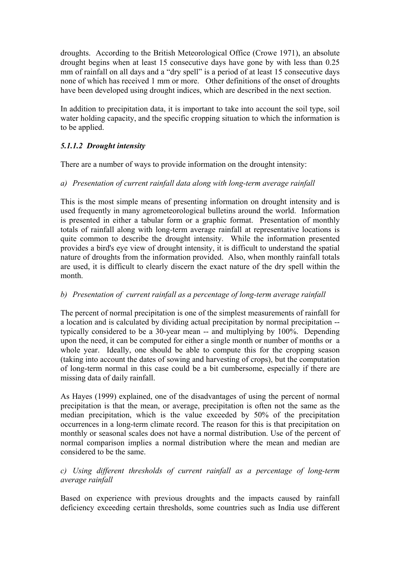droughts. According to the British Meteorological Office (Crowe 1971), an absolute drought begins when at least 15 consecutive days have gone by with less than 0.25 mm of rainfall on all days and a "dry spell" is a period of at least 15 consecutive days none of which has received 1 mm or more. Other definitions of the onset of droughts have been developed using drought indices, which are described in the next section.

In addition to precipitation data, it is important to take into account the soil type, soil water holding capacity, and the specific cropping situation to which the information is to be applied.

# *5.1.1.2 Drought intensity*

There are a number of ways to provide information on the drought intensity:

#### *a) Presentation of current rainfall data along with long-term average rainfall*

This is the most simple means of presenting information on drought intensity and is used frequently in many agrometeorological bulletins around the world. Information is presented in either a tabular form or a graphic format. Presentation of monthly totals of rainfall along with long-term average rainfall at representative locations is quite common to describe the drought intensity. While the information presented provides a bird's eye view of drought intensity, it is difficult to understand the spatial nature of droughts from the information provided. Also, when monthly rainfall totals are used, it is difficult to clearly discern the exact nature of the dry spell within the month.

## *b) Presentation of current rainfall as a percentage of long-term average rainfall*

The percent of normal precipitation is one of the simplest measurements of rainfall for a location and is calculated by dividing actual precipitation by normal precipitation - typically considered to be a 30-year mean -- and multiplying by 100%. Depending upon the need, it can be computed for either a single month or number of months or a whole year. Ideally, one should be able to compute this for the cropping season (taking into account the dates of sowing and harvesting of crops), but the computation of long-term normal in this case could be a bit cumbersome, especially if there are missing data of daily rainfall.

As Hayes (1999) explained, one of the disadvantages of using the percent of normal precipitation is that the mean, or average, precipitation is often not the same as the median precipitation, which is the value exceeded by 50% of the precipitation occurrences in a long-term climate record. The reason for this is that precipitation on monthly or seasonal scales does not have a normal distribution. Use of the percent of normal comparison implies a normal distribution where the mean and median are considered to be the same.

## *c) Using different thresholds of current rainfall as a percentage of long-term average rainfall*

Based on experience with previous droughts and the impacts caused by rainfall deficiency exceeding certain thresholds, some countries such as India use different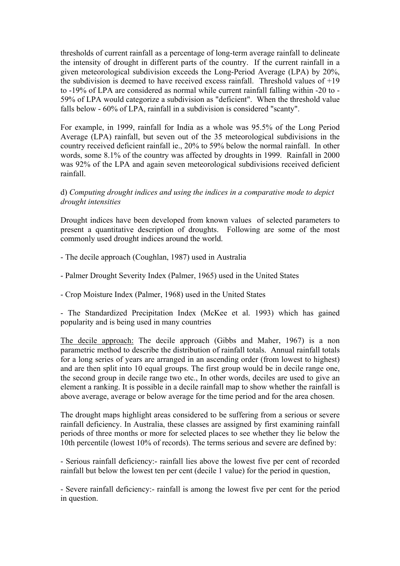thresholds of current rainfall as a percentage of long-term average rainfall to delineate the intensity of drought in different parts of the country. If the current rainfall in a given meteorological subdivision exceeds the Long-Period Average (LPA) by 20%, the subdivision is deemed to have received excess rainfall. Threshold values of +19 to -19% of LPA are considered as normal while current rainfall falling within -20 to - 59% of LPA would categorize a subdivision as "deficient". When the threshold value falls below - 60% of LPA, rainfall in a subdivision is considered "scanty".

For example, in 1999, rainfall for India as a whole was 95.5% of the Long Period Average (LPA) rainfall, but seven out of the 35 meteorological subdivisions in the country received deficient rainfall ie., 20% to 59% below the normal rainfall. In other words, some 8.1% of the country was affected by droughts in 1999. Rainfall in 2000 was 92% of the LPA and again seven meteorological subdivisions received deficient rainfall.

#### d) *Computing drought indices and using the indices in a comparative mode to depict drought intensities*

Drought indices have been developed from known values of selected parameters to present a quantitative description of droughts. Following are some of the most commonly used drought indices around the world.

- The decile approach (Coughlan, 1987) used in Australia

- Palmer Drought Severity Index (Palmer, 1965) used in the United States
- Crop Moisture Index (Palmer, 1968) used in the United States

- The Standardized Precipitation Index (McKee et al. 1993) which has gained popularity and is being used in many countries

The decile approach: The decile approach (Gibbs and Maher, 1967) is a non parametric method to describe the distribution of rainfall totals. Annual rainfall totals for a long series of years are arranged in an ascending order (from lowest to highest) and are then split into 10 equal groups. The first group would be in decile range one, the second group in decile range two etc., In other words, deciles are used to give an element a ranking. It is possible in a decile rainfall map to show whether the rainfall is above average, average or below average for the time period and for the area chosen.

The drought maps highlight areas considered to be suffering from a serious or severe rainfall deficiency. In Australia, these classes are assigned by first examining rainfall periods of three months or more for selected places to see whether they lie below the 10th percentile (lowest 10% of records). The terms serious and severe are defined by:

- Serious rainfall deficiency:- rainfall lies above the lowest five per cent of recorded rainfall but below the lowest ten per cent (decile 1 value) for the period in question,

- Severe rainfall deficiency:- rainfall is among the lowest five per cent for the period in question.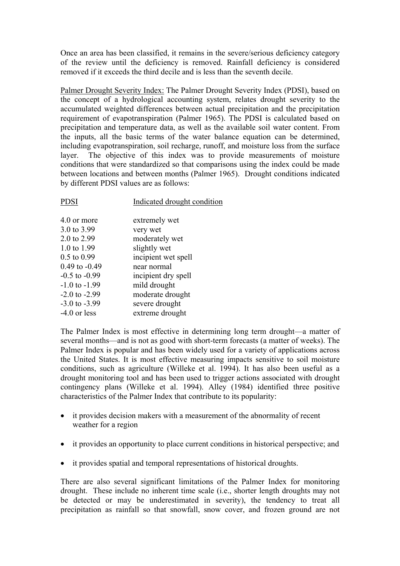Once an area has been classified, it remains in the severe/serious deficiency category of the review until the deficiency is removed. Rainfall deficiency is considered removed if it exceeds the third decile and is less than the seventh decile.

Palmer Drought Severity Index: The Palmer Drought Severity Index (PDSI), based on the concept of a hydrological accounting system, relates drought severity to the accumulated weighted differences between actual precipitation and the precipitation requirement of evapotranspiration (Palmer 1965). The PDSI is calculated based on precipitation and temperature data, as well as the available soil water content. From the inputs, all the basic terms of the water balance equation can be determined, including evapotranspiration, soil recharge, runoff, and moisture loss from the surface layer. The objective of this index was to provide measurements of moisture conditions that were standardized so that comparisons using the index could be made between locations and between months (Palmer 1965). Drought conditions indicated by different PDSI values are as follows:

| <b>PDSI</b>                | Indicated drought condition |
|----------------------------|-----------------------------|
| 4.0 or more<br>3.0 to 3.99 | extremely wet               |
|                            | very wet                    |

| 2.0 to 2.99       | moderately wet      |
|-------------------|---------------------|
| 1.0 to 1.99       | slightly wet        |
| $0.5$ to $0.99$   | incipient wet spell |
| $0.49$ to $-0.49$ | near normal         |
| $-0.5$ to $-0.99$ | incipient dry spell |
| $-1.0$ to $-1.99$ | mild drought        |
| $-2.0$ to $-2.99$ | moderate drought    |
| $-3.0$ to $-3.99$ | severe drought      |
| $-4.0$ or less    | extreme drought     |

The Palmer Index is most effective in determining long term drought—a matter of several months—and is not as good with short-term forecasts (a matter of weeks). The Palmer Index is popular and has been widely used for a variety of applications across the United States. It is most effective measuring impacts sensitive to soil moisture conditions, such as agriculture (Willeke et al. 1994). It has also been useful as a drought monitoring tool and has been used to trigger actions associated with drought contingency plans (Willeke et al. 1994). Alley (1984) identified three positive characteristics of the Palmer Index that contribute to its popularity:

- it provides decision makers with a measurement of the abnormality of recent weather for a region
- it provides an opportunity to place current conditions in historical perspective; and
- it provides spatial and temporal representations of historical droughts.

There are also several significant limitations of the Palmer Index for monitoring drought. These include no inherent time scale (i.e., shorter length droughts may not be detected or may be underestimated in severity), the tendency to treat all precipitation as rainfall so that snowfall, snow cover, and frozen ground are not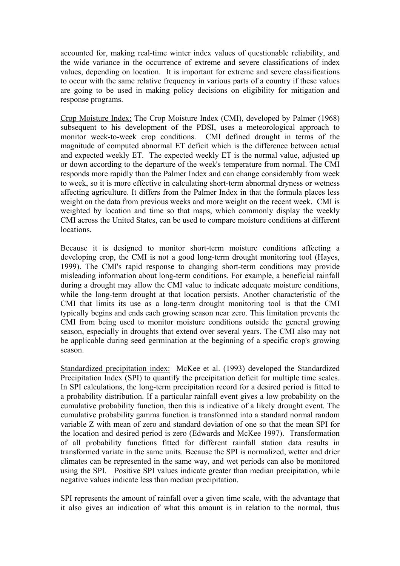accounted for, making real-time winter index values of questionable reliability, and the wide variance in the occurrence of extreme and severe classifications of index values, depending on location. It is important for extreme and severe classifications to occur with the same relative frequency in various parts of a country if these values are going to be used in making policy decisions on eligibility for mitigation and response programs.

Crop Moisture Index: The Crop Moisture Index (CMI), developed by Palmer (1968) subsequent to his development of the PDSI, uses a meteorological approach to monitor week-to-week crop conditions. CMI defined drought in terms of the magnitude of computed abnormal ET deficit which is the difference between actual and expected weekly ET. The expected weekly ET is the normal value, adjusted up or down according to the departure of the week's temperature from normal. The CMI responds more rapidly than the Palmer Index and can change considerably from week to week, so it is more effective in calculating short-term abnormal dryness or wetness affecting agriculture. It differs from the Palmer Index in that the formula places less weight on the data from previous weeks and more weight on the recent week. CMI is weighted by location and time so that maps, which commonly display the weekly CMI across the United States, can be used to compare moisture conditions at different locations.

Because it is designed to monitor short-term moisture conditions affecting a developing crop, the CMI is not a good long-term drought monitoring tool (Hayes, 1999). The CMI's rapid response to changing short-term conditions may provide misleading information about long-term conditions. For example, a beneficial rainfall during a drought may allow the CMI value to indicate adequate moisture conditions, while the long-term drought at that location persists. Another characteristic of the CMI that limits its use as a long-term drought monitoring tool is that the CMI typically begins and ends each growing season near zero. This limitation prevents the CMI from being used to monitor moisture conditions outside the general growing season, especially in droughts that extend over several years. The CMI also may not be applicable during seed germination at the beginning of a specific crop's growing season.

Standardized precipitation index: McKee et al. (1993) developed the Standardized Precipitation Index (SPI) to quantify the precipitation deficit for multiple time scales. In SPI calculations, the long-term precipitation record for a desired period is fitted to a probability distribution. If a particular rainfall event gives a low probability on the cumulative probability function, then this is indicative of a likely drought event. The cumulative probability gamma function is transformed into a standard normal random variable Z with mean of zero and standard deviation of one so that the mean SPI for the location and desired period is zero (Edwards and McKee 1997). Transformation of all probability functions fitted for different rainfall station data results in transformed variate in the same units. Because the SPI is normalized, wetter and drier climates can be represented in the same way, and wet periods can also be monitored using the SPI. Positive SPI values indicate greater than median precipitation, while negative values indicate less than median precipitation.

SPI represents the amount of rainfall over a given time scale, with the advantage that it also gives an indication of what this amount is in relation to the normal, thus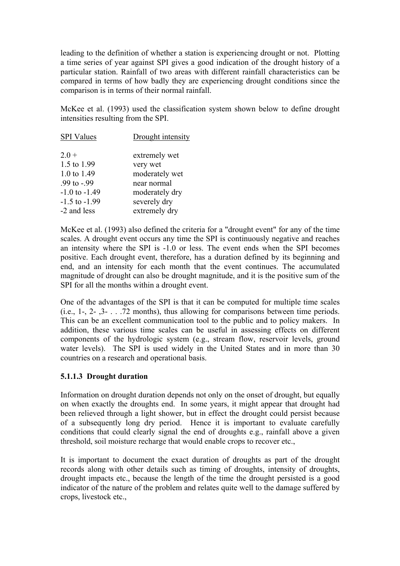leading to the definition of whether a station is experiencing drought or not. Plotting a time series of year against SPI gives a good indication of the drought history of a particular station. Rainfall of two areas with different rainfall characteristics can be compared in terms of how badly they are experiencing drought conditions since the comparison is in terms of their normal rainfall.

McKee et al. (1993) used the classification system shown below to define drought intensities resulting from the SPI.

| <b>SPI</b> Values | Drought intensity |
|-------------------|-------------------|
| $2.0 +$           | extremely wet     |
| 1.5 to 1.99       | very wet          |
| 1.0 to 1.49       | moderately wet    |
| .99 to $-99$      | near normal       |
| $-1.0$ to $-1.49$ | moderately dry    |
| $-1.5$ to $-1.99$ | severely dry      |
| -2 and less       | extremely dry     |

McKee et al. (1993) also defined the criteria for a "drought event" for any of the time scales. A drought event occurs any time the SPI is continuously negative and reaches an intensity where the SPI is -1.0 or less. The event ends when the SPI becomes positive. Each drought event, therefore, has a duration defined by its beginning and end, and an intensity for each month that the event continues. The accumulated magnitude of drought can also be drought magnitude, and it is the positive sum of the SPI for all the months within a drought event.

One of the advantages of the SPI is that it can be computed for multiple time scales (i.e., 1-, 2- ,3- . . .72 months), thus allowing for comparisons between time periods. This can be an excellent communication tool to the public and to policy makers. In addition, these various time scales can be useful in assessing effects on different components of the hydrologic system (e.g., stream flow, reservoir levels, ground water levels). The SPI is used widely in the United States and in more than 30 countries on a research and operational basis.

## **5.1.1.3 Drought duration**

Information on drought duration depends not only on the onset of drought, but equally on when exactly the droughts end. In some years, it might appear that drought had been relieved through a light shower, but in effect the drought could persist because of a subsequently long dry period. Hence it is important to evaluate carefully conditions that could clearly signal the end of droughts e.g., rainfall above a given threshold, soil moisture recharge that would enable crops to recover etc.,

It is important to document the exact duration of droughts as part of the drought records along with other details such as timing of droughts, intensity of droughts, drought impacts etc., because the length of the time the drought persisted is a good indicator of the nature of the problem and relates quite well to the damage suffered by crops, livestock etc.,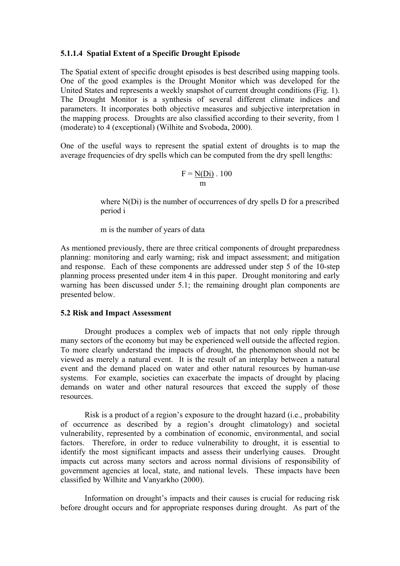#### **5.1.1.4 Spatial Extent of a Specific Drought Episode**

The Spatial extent of specific drought episodes is best described using mapping tools. One of the good examples is the Drought Monitor which was developed for the United States and represents a weekly snapshot of current drought conditions (Fig. 1). The Drought Monitor is a synthesis of several different climate indices and parameters. It incorporates both objective measures and subjective interpretation in the mapping process. Droughts are also classified according to their severity, from 1 (moderate) to 4 (exceptional) (Wilhite and Svoboda, 2000).

One of the useful ways to represent the spatial extent of droughts is to map the average frequencies of dry spells which can be computed from the dry spell lengths:

$$
F = \frac{N(Di)}{m} . 100
$$

where N(Di) is the number of occurrences of dry spells D for a prescribed period i

m is the number of years of data

As mentioned previously, there are three critical components of drought preparedness planning: monitoring and early warning; risk and impact assessment; and mitigation and response. Each of these components are addressed under step 5 of the 10-step planning process presented under item 4 in this paper. Drought monitoring and early warning has been discussed under 5.1; the remaining drought plan components are presented below.

#### **5.2 Risk and Impact Assessment**

Drought produces a complex web of impacts that not only ripple through many sectors of the economy but may be experienced well outside the affected region. To more clearly understand the impacts of drought, the phenomenon should not be viewed as merely a natural event. It is the result of an interplay between a natural event and the demand placed on water and other natural resources by human-use systems. For example, societies can exacerbate the impacts of drought by placing demands on water and other natural resources that exceed the supply of those resources.

Risk is a product of a region's exposure to the drought hazard (i.e., probability of occurrence as described by a region's drought climatology) and societal vulnerability, represented by a combination of economic, environmental, and social factors. Therefore, in order to reduce vulnerability to drought, it is essential to identify the most significant impacts and assess their underlying causes. Drought impacts cut across many sectors and across normal divisions of responsibility of government agencies at local, state, and national levels. These impacts have been classified by Wilhite and Vanyarkho (2000).

Information on drought's impacts and their causes is crucial for reducing risk before drought occurs and for appropriate responses during drought. As part of the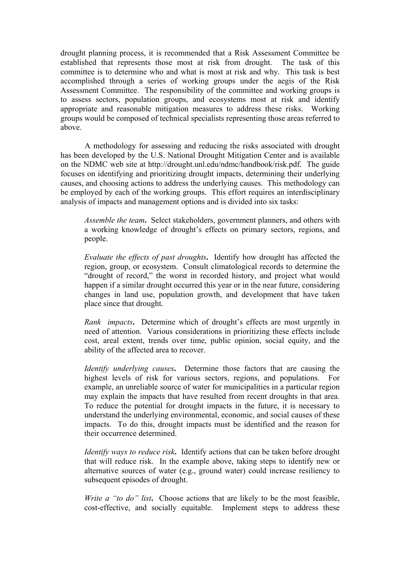drought planning process, it is recommended that a Risk Assessment Committee be established that represents those most at risk from drought. The task of this committee is to determine who and what is most at risk and why. This task is best accomplished through a series of working groups under the aegis of the Risk Assessment Committee. The responsibility of the committee and working groups is to assess sectors, population groups, and ecosystems most at risk and identify appropriate and reasonable mitigation measures to address these risks. Working groups would be composed of technical specialists representing those areas referred to above.

A methodology for assessing and reducing the risks associated with drought has been developed by the U.S. National Drought Mitigation Center and is available on the NDMC web site at http://drought.unl.edu/ndmc/handbook/risk.pdf. The guide focuses on identifying and prioritizing drought impacts, determining their underlying causes, and choosing actions to address the underlying causes. This methodology can be employed by each of the working groups. This effort requires an interdisciplinary analysis of impacts and management options and is divided into six tasks:

*Assemble the team***.** Select stakeholders, government planners, and others with a working knowledge of drought's effects on primary sectors, regions, and people.

*Evaluate the effects of past droughts***.** Identify how drought has affected the region, group, or ecosystem. Consult climatological records to determine the "drought of record," the worst in recorded history, and project what would happen if a similar drought occurred this year or in the near future, considering changes in land use, population growth, and development that have taken place since that drought.

*Rank impacts***.** Determine which of drought's effects are most urgently in need of attention. Various considerations in prioritizing these effects include cost, areal extent, trends over time, public opinion, social equity, and the ability of the affected area to recover.

*Identify underlying causes***.** Determine those factors that are causing the highest levels of risk for various sectors, regions, and populations. For example, an unreliable source of water for municipalities in a particular region may explain the impacts that have resulted from recent droughts in that area. To reduce the potential for drought impacts in the future, it is necessary to understand the underlying environmental, economic, and social causes of these impacts. To do this, drought impacts must be identified and the reason for their occurrence determined.

*Identify ways to reduce risk***.** Identify actions that can be taken before drought that will reduce risk. In the example above, taking steps to identify new or alternative sources of water (e.g., ground water) could increase resiliency to subsequent episodes of drought.

*Write a "to do" list***.** Choose actions that are likely to be the most feasible, cost-effective, and socially equitable. Implement steps to address these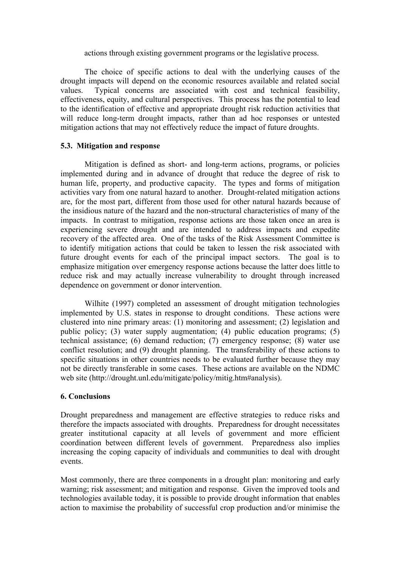#### actions through existing government programs or the legislative process.

The choice of specific actions to deal with the underlying causes of the drought impacts will depend on the economic resources available and related social values. Typical concerns are associated with cost and technical feasibility, effectiveness, equity, and cultural perspectives. This process has the potential to lead to the identification of effective and appropriate drought risk reduction activities that will reduce long-term drought impacts, rather than ad hoc responses or untested mitigation actions that may not effectively reduce the impact of future droughts.

#### **5.3. Mitigation and response**

Mitigation is defined as short- and long-term actions, programs, or policies implemented during and in advance of drought that reduce the degree of risk to human life, property, and productive capacity. The types and forms of mitigation activities vary from one natural hazard to another. Drought-related mitigation actions are, for the most part, different from those used for other natural hazards because of the insidious nature of the hazard and the non-structural characteristics of many of the impacts. In contrast to mitigation, response actions are those taken once an area is experiencing severe drought and are intended to address impacts and expedite recovery of the affected area. One of the tasks of the Risk Assessment Committee is to identify mitigation actions that could be taken to lessen the risk associated with future drought events for each of the principal impact sectors. The goal is to emphasize mitigation over emergency response actions because the latter does little to reduce risk and may actually increase vulnerability to drought through increased dependence on government or donor intervention.

Wilhite (1997) completed an assessment of drought mitigation technologies implemented by U.S. states in response to drought conditions. These actions were clustered into nine primary areas: (1) monitoring and assessment; (2) legislation and public policy; (3) water supply augmentation; (4) public education programs; (5) technical assistance; (6) demand reduction; (7) emergency response; (8) water use conflict resolution; and (9) drought planning. The transferability of these actions to specific situations in other countries needs to be evaluated further because they may not be directly transferable in some cases. These actions are available on the NDMC web site (http://drought.unl.edu/mitigate/policy/mitig.htm#analysis).

#### **6. Conclusions**

Drought preparedness and management are effective strategies to reduce risks and therefore the impacts associated with droughts. Preparedness for drought necessitates greater institutional capacity at all levels of government and more efficient coordination between different levels of government. Preparedness also implies increasing the coping capacity of individuals and communities to deal with drought events.

Most commonly, there are three components in a drought plan: monitoring and early warning; risk assessment; and mitigation and response. Given the improved tools and technologies available today, it is possible to provide drought information that enables action to maximise the probability of successful crop production and/or minimise the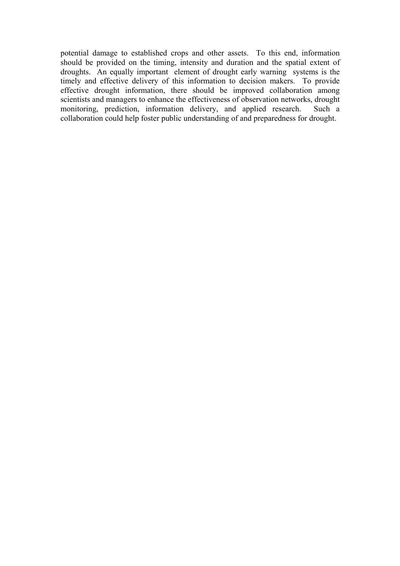potential damage to established crops and other assets. To this end, information should be provided on the timing, intensity and duration and the spatial extent of droughts. An equally important element of drought early warning systems is the timely and effective delivery of this information to decision makers. To provide effective drought information, there should be improved collaboration among scientists and managers to enhance the effectiveness of observation networks, drought monitoring, prediction, information delivery, and applied research. Such a collaboration could help foster public understanding of and preparedness for drought.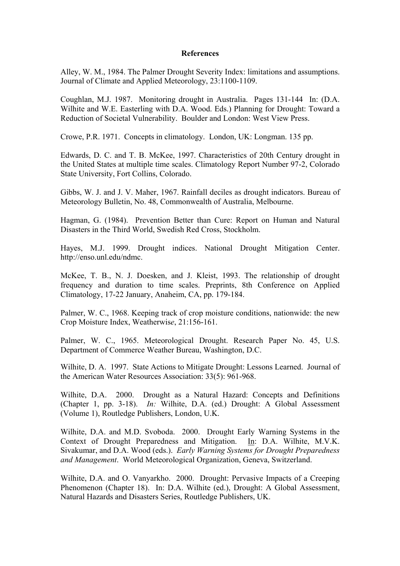#### **References**

Alley, W. M., 1984. The Palmer Drought Severity Index: limitations and assumptions. Journal of Climate and Applied Meteorology, 23:1100-1109.

Coughlan, M.J. 1987. Monitoring drought in Australia. Pages 131-144 In: (D.A. Wilhite and W.E. Easterling with D.A. Wood. Eds.) Planning for Drought: Toward a Reduction of Societal Vulnerability. Boulder and London: West View Press.

Crowe, P.R. 1971. Concepts in climatology. London, UK: Longman. 135 pp.

Edwards, D. C. and T. B. McKee, 1997. Characteristics of 20th Century drought in the United States at multiple time scales. Climatology Report Number 97-2, Colorado State University, Fort Collins, Colorado.

Gibbs, W. J. and J. V. Maher, 1967. Rainfall deciles as drought indicators. Bureau of Meteorology Bulletin, No. 48, Commonwealth of Australia, Melbourne.

Hagman, G. (1984). Prevention Better than Cure: Report on Human and Natural Disasters in the Third World, Swedish Red Cross, Stockholm.

Hayes, M.J. 1999. Drought indices. National Drought Mitigation Center. http://enso.unl.edu/ndmc.

McKee, T. B., N. J. Doesken, and J. Kleist, 1993. The relationship of drought frequency and duration to time scales. Preprints, 8th Conference on Applied Climatology, 17-22 January, Anaheim, CA, pp. 179-184.

Palmer, W. C., 1968. Keeping track of crop moisture conditions, nationwide: the new Crop Moisture Index, Weatherwis*e*, 21:156-161.

Palmer, W. C., 1965. Meteorological Drought. Research Paper No. 45, U.S. Department of Commerce Weather Bureau, Washington, D.C.

Wilhite, D. A. 1997. State Actions to Mitigate Drought: Lessons Learned. Journal of the American Water Resources Association: 33(5): 961-968.

Wilhite, D.A. 2000. Drought as a Natural Hazard: Concepts and Definitions (Chapter 1, pp. 3-18). *In:* Wilhite, D.A. (ed.) Drought: A Global Assessment (Volume 1), Routledge Publishers, London, U.K.

Wilhite, D.A. and M.D. Svoboda. 2000. Drought Early Warning Systems in the Context of Drought Preparedness and Mitigation. In: D.A. Wilhite, M.V.K. Sivakumar, and D.A. Wood (eds.). *Early Warning Systems for Drought Preparedness and Management*. World Meteorological Organization, Geneva, Switzerland.

Wilhite, D.A. and O. Vanyarkho. 2000. Drought: Pervasive Impacts of a Creeping Phenomenon (Chapter 18). In: D.A. Wilhite (ed.), Drought: A Global Assessment, Natural Hazards and Disasters Series, Routledge Publishers, UK.